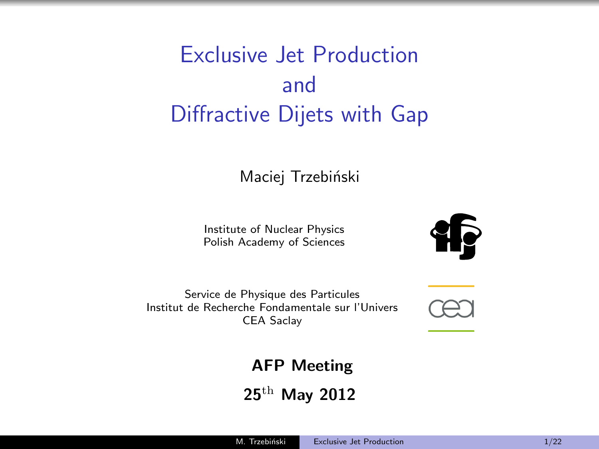# Exclusive Jet Production and Diffractive Dijets with Gap

#### Maciej Trzebiński

Institute of Nuclear Physics Polish Academy of Sciences



Service de Physique des Particules Institut de Recherche Fondamentale sur l'Univers CEA Saclay

<span id="page-0-0"></span>

AFP Meeting

25th May 2012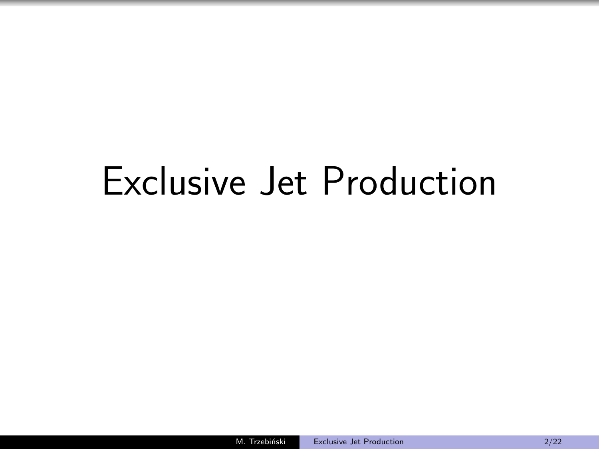# Exclusive Jet Production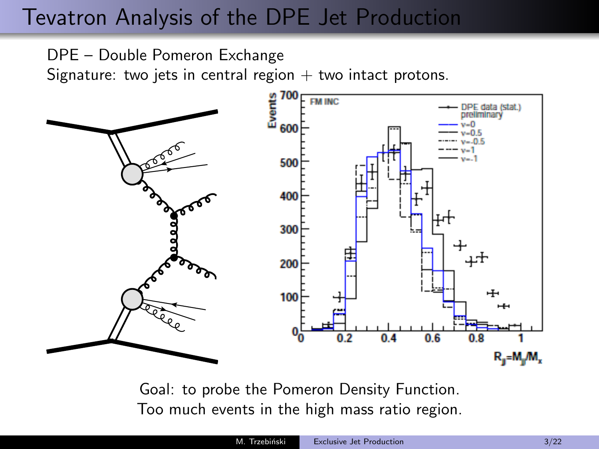### Tevatron Analysis of the DPE Jet Production

DPE – Double Pomeron Exchange

Signature: two jets in central region  $+$  two intact protons.



Goal: to probe the Pomeron Density Function. Too much events in the high mass ratio region.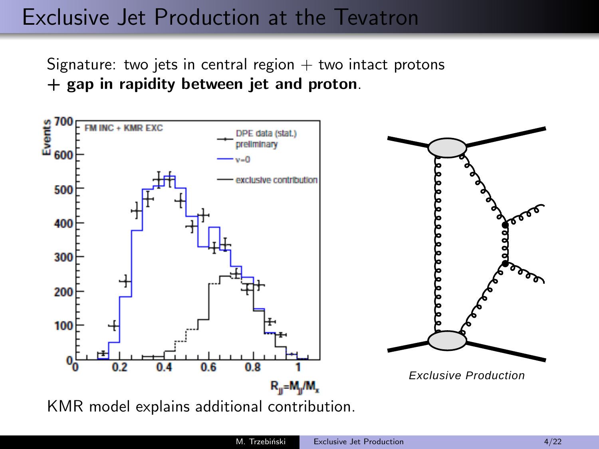#### Exclusive Jet Production at the Tevatron

Signature: two jets in central region  $+$  two intact protons + gap in rapidity between jet and proton.

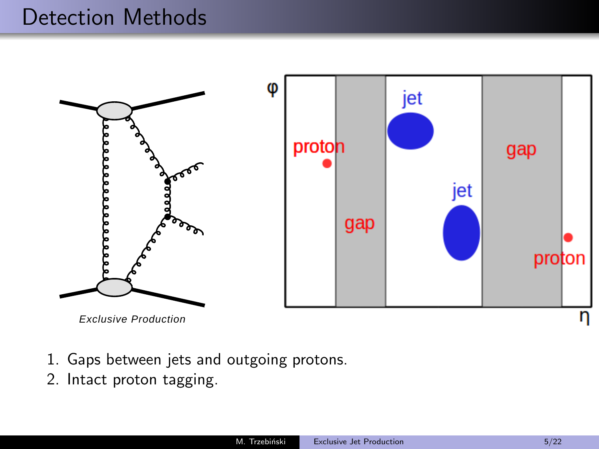#### Detection Methods



- 1. Gaps between jets and outgoing protons.
- 2. Intact proton tagging.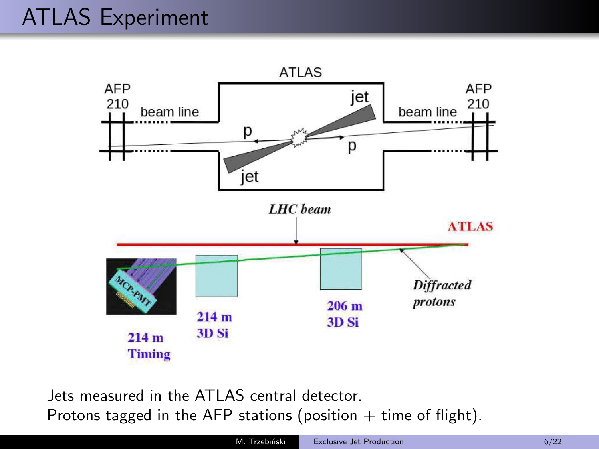

Jets measured in the ATLAS central detector. Protons tagged in the AFP stations (position  $+$  time of flight).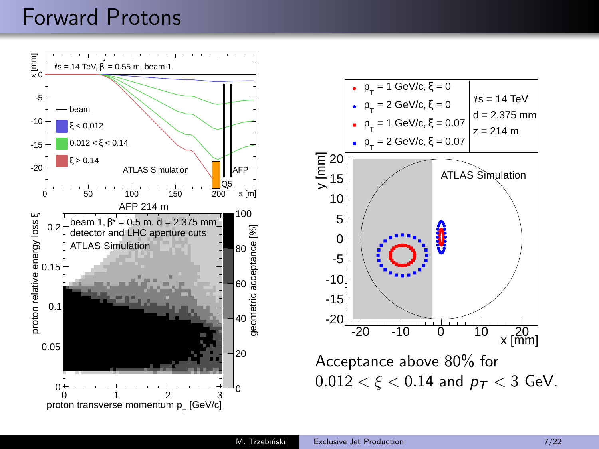#### Forward Protons



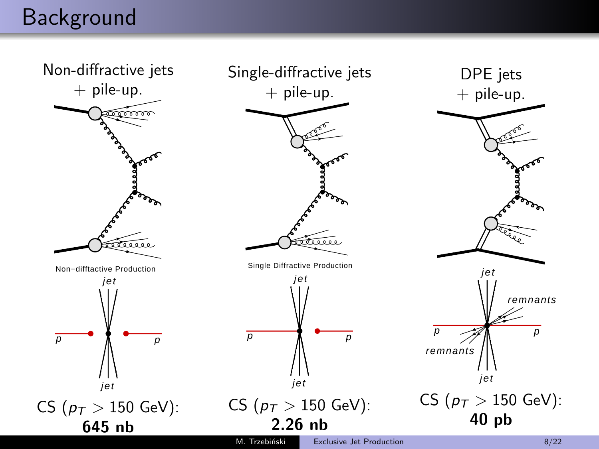#### Background

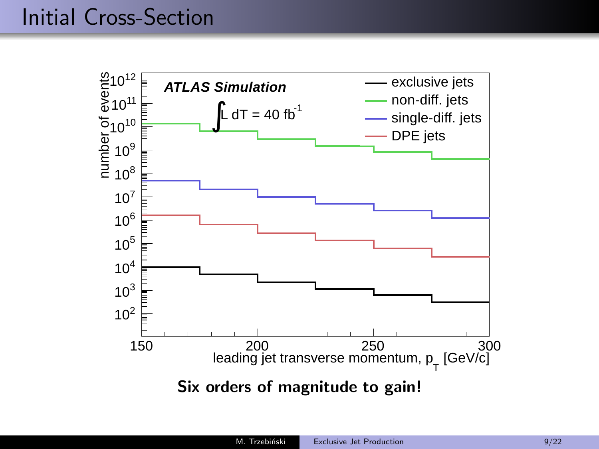### Initial Cross-Section

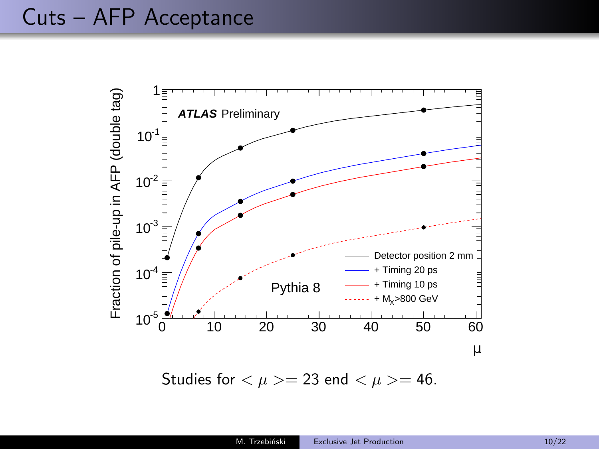

Studies for  $\langle \mu \rangle = 23$  end  $\langle \mu \rangle = 46$ .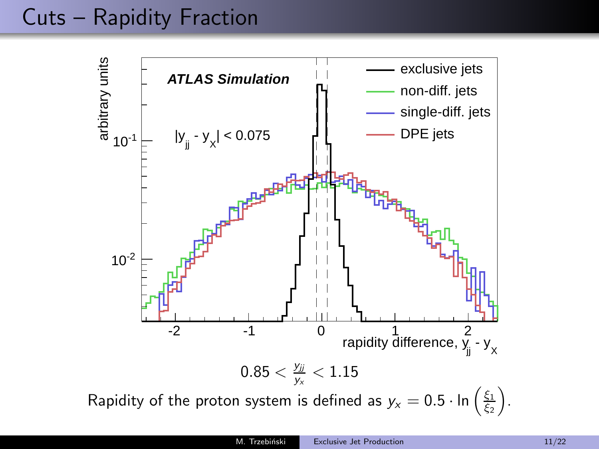## Cuts – Rapidity Fraction

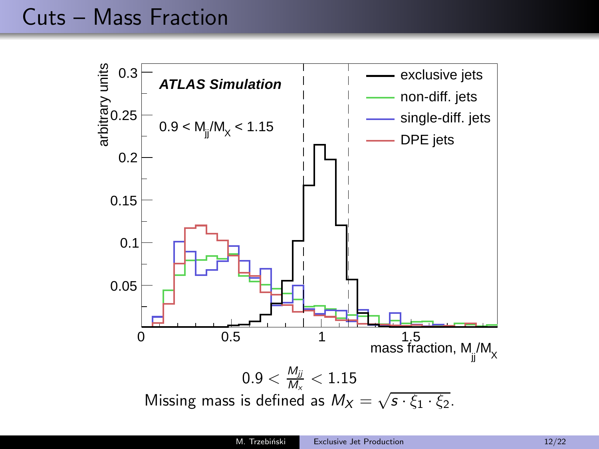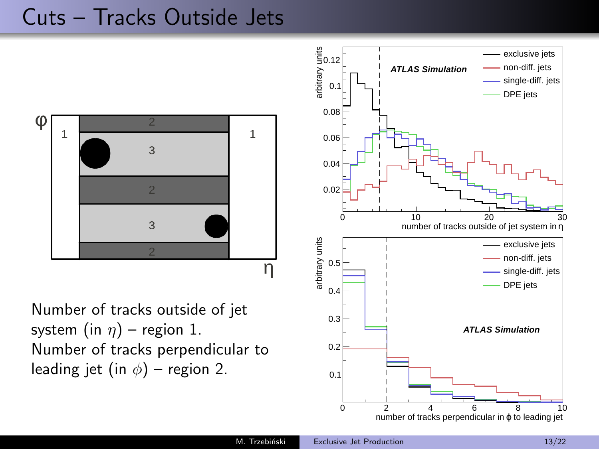#### Cuts – Tracks Outside Jets



Number of tracks outside of jet system (in  $\eta$ ) – region 1. Number of tracks perpendicular to leading jet (in  $\phi$ ) – region 2.

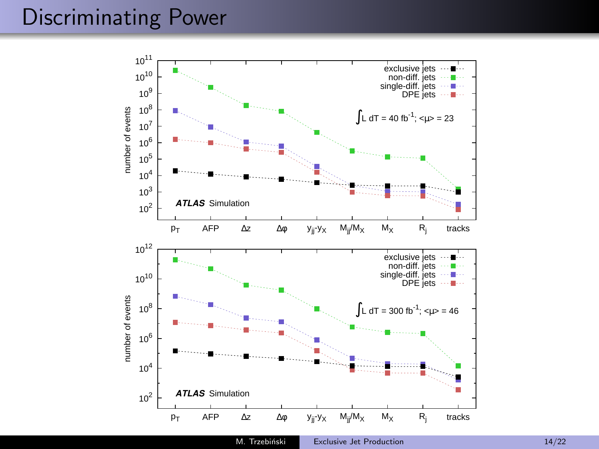### Discriminating Power

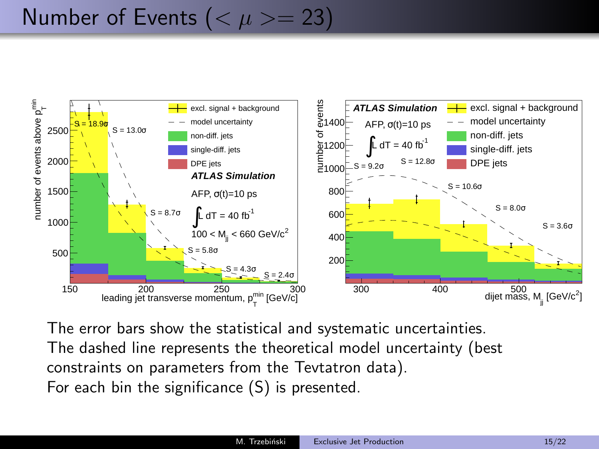# Number of Events ( $< \mu > = 23$ )



The error bars show the statistical and systematic uncertainties. The dashed line represents the theoretical model uncertainty (best constraints on parameters from the Tevtatron data). For each bin the significance (S) is presented.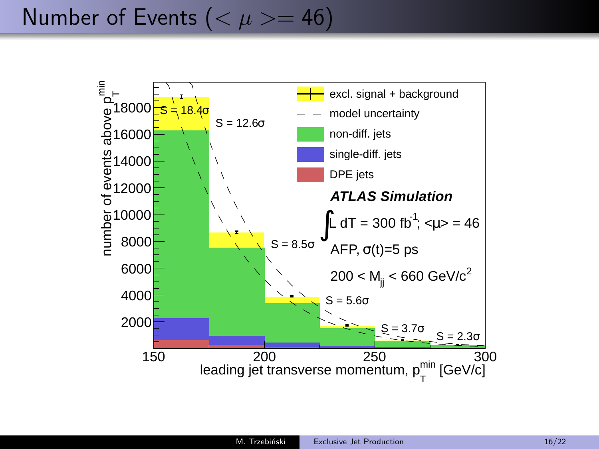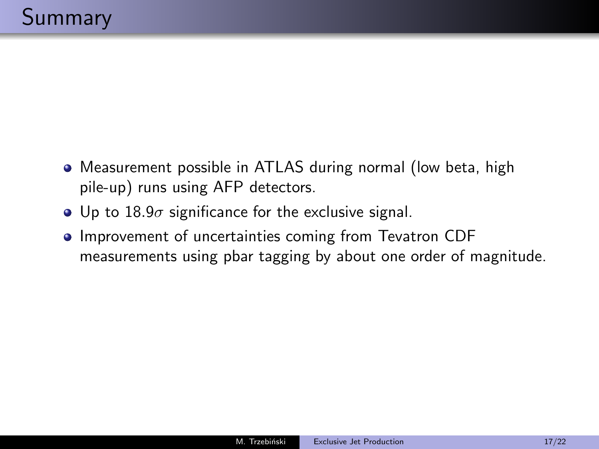- Measurement possible in ATLAS during normal (low beta, high pile-up) runs using AFP detectors.
- Up to  $18.9\sigma$  significance for the exclusive signal.
- **Improvement of uncertainties coming from Tevatron CDF** measurements using pbar tagging by about one order of magnitude.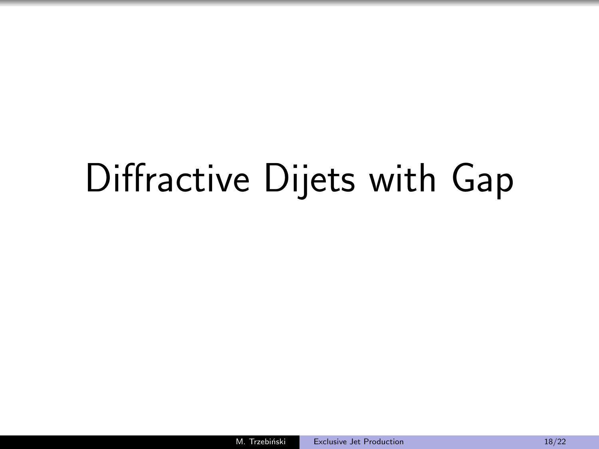# Diffractive Dijets with Gap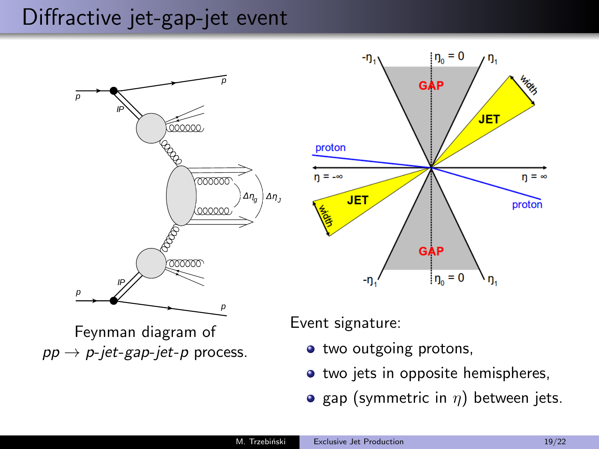#### Diffractive jet-gap-jet event





Feynman diagram of  $pp \rightarrow p$ -jet-gap-jet-p process. Event signature:

- $\bullet$  two outgoing protons,
- two jets in opposite hemispheres,
- gap (symmetric in  $\eta$ ) between jets.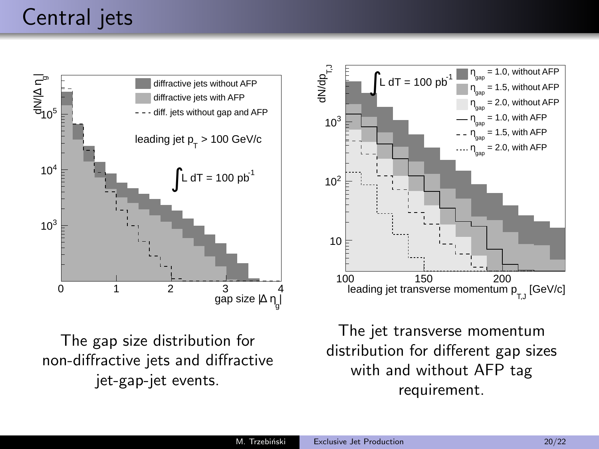

The gap size distribution for non-diffractive jets and diffractive jet-gap-jet events.



The jet transverse momentum distribution for different gap sizes with and without AFP tag requirement.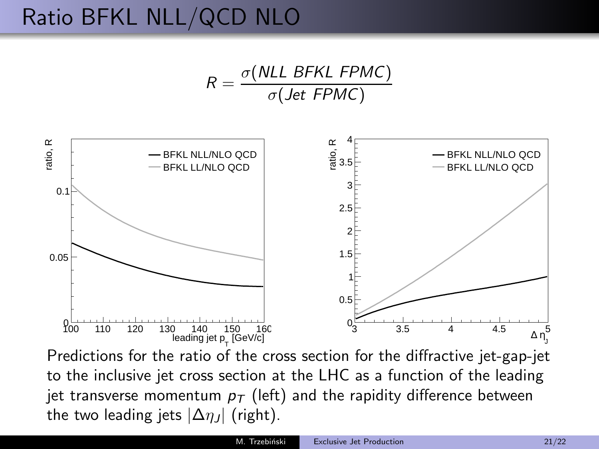# Ratio BFKL NLL/QCD NLO

$$
R = \frac{\sigma(NLL \ BFKL \ FPMC)}{\sigma(Jet \ FPMC)}
$$



Predictions for the ratio of the cross section for the diffractive jet-gap-jet to the inclusive jet cross section at the LHC as a function of the leading jet transverse momentum  $p<sub>T</sub>$  (left) and the rapidity difference between the two leading jets  $|\Delta \eta_J|$  (right).